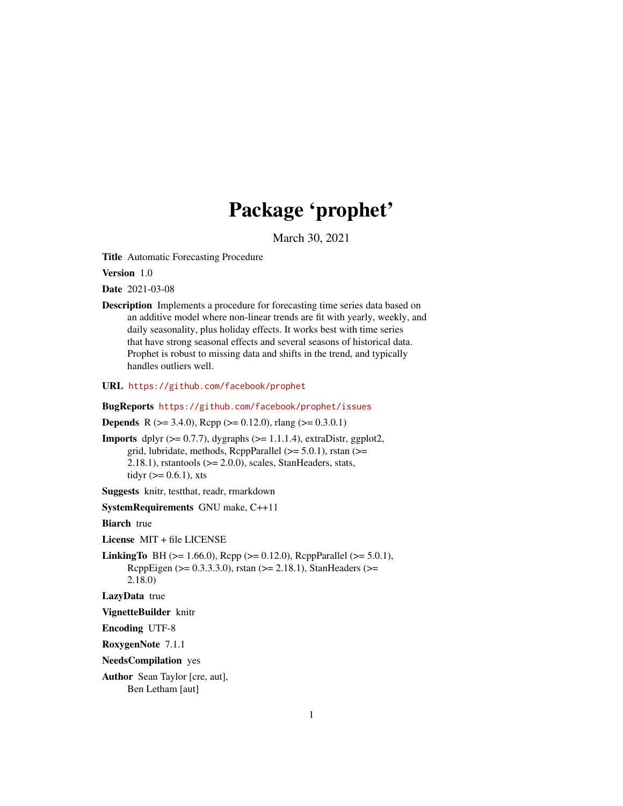# Package 'prophet'

March 30, 2021

Title Automatic Forecasting Procedure

Version 1.0

Date 2021-03-08

Description Implements a procedure for forecasting time series data based on an additive model where non-linear trends are fit with yearly, weekly, and daily seasonality, plus holiday effects. It works best with time series that have strong seasonal effects and several seasons of historical data. Prophet is robust to missing data and shifts in the trend, and typically handles outliers well.

URL <https://github.com/facebook/prophet>

BugReports <https://github.com/facebook/prophet/issues>

**Depends** R ( $>= 3.4.0$ ), Rcpp ( $>= 0.12.0$ ), rlang ( $>= 0.3.0.1$ )

**Imports** dplyr  $(>= 0.7.7)$ , dygraphs  $(>= 1.1.1.4)$ , extraDistr, ggplot2, grid, lubridate, methods, RcppParallel  $(>= 5.0.1)$ , rstan  $(>=$ 2.18.1), rstantools  $(>= 2.0.0)$ , scales, StanHeaders, stats, tidyr  $(>= 0.6.1)$ , xts

Suggests knitr, testthat, readr, rmarkdown

SystemRequirements GNU make, C++11

**Biarch** true

License MIT + file LICENSE

**LinkingTo** BH ( $>= 1.66.0$ ), Rcpp ( $>= 0.12.0$ ), RcppParallel ( $>= 5.0.1$ ), RcppEigen (>= 0.3.3.3.0), rstan (>= 2.18.1), StanHeaders (>= 2.18.0)

LazyData true

VignetteBuilder knitr

Encoding UTF-8

RoxygenNote 7.1.1

NeedsCompilation yes

Author Sean Taylor [cre, aut], Ben Letham [aut]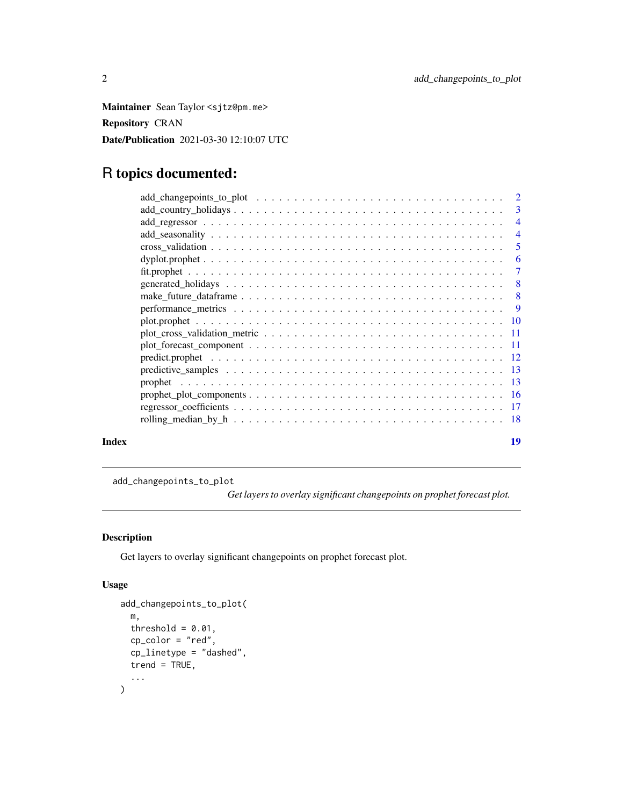<span id="page-1-0"></span>Maintainer Sean Taylor <sjtz@pm.me> Repository CRAN Date/Publication 2021-03-30 12:10:07 UTC

# R topics documented:

|       |                                                                                                                                       | $\overline{4}$ |
|-------|---------------------------------------------------------------------------------------------------------------------------------------|----------------|
|       |                                                                                                                                       |                |
|       | $\text{dyplot}, \text{proplet} \dots \dots \dots \dots \dots \dots \dots \dots \dots \dots \dots \dots \dots \dots \dots \dots \dots$ | -6             |
|       |                                                                                                                                       |                |
|       |                                                                                                                                       |                |
|       |                                                                                                                                       |                |
|       |                                                                                                                                       |                |
|       |                                                                                                                                       |                |
|       |                                                                                                                                       |                |
|       |                                                                                                                                       |                |
|       |                                                                                                                                       |                |
|       |                                                                                                                                       |                |
|       |                                                                                                                                       |                |
|       |                                                                                                                                       |                |
|       |                                                                                                                                       |                |
|       |                                                                                                                                       |                |
| Index |                                                                                                                                       | 19             |

add\_changepoints\_to\_plot

*Get layers to overlay significant changepoints on prophet forecast plot.*

# Description

Get layers to overlay significant changepoints on prophet forecast plot.

# Usage

```
add_changepoints_to_plot(
 m,
  threshold = 0.01,
 cp_color = "red",
  cp_linetype = "dashed",
 trend = TRUE,...
\mathcal{L}
```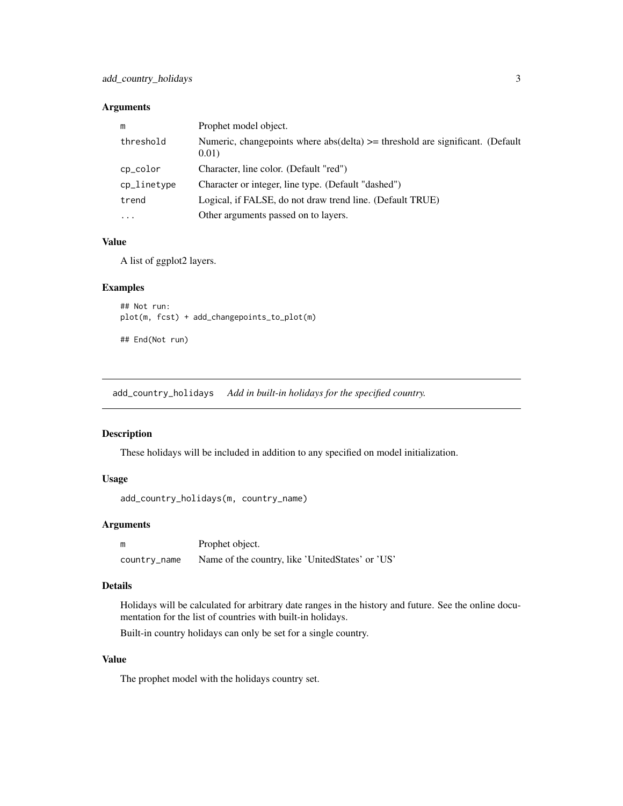#### <span id="page-2-0"></span>Arguments

| m           | Prophet model object.                                                                      |
|-------------|--------------------------------------------------------------------------------------------|
| threshold   | Numeric, changepoints where $abs(delta) \geq threshold$ are significant. (Default<br>0.01) |
| cp_color    | Character, line color. (Default "red")                                                     |
| cp_linetype | Character or integer, line type. (Default "dashed")                                        |
| trend       | Logical, if FALSE, do not draw trend line. (Default TRUE)                                  |
| .           | Other arguments passed on to layers.                                                       |

#### Value

A list of ggplot2 layers.

#### Examples

```
## Not run:
plot(m, fcst) + add_changepoints_to_plot(m)
```
## End(Not run)

add\_country\_holidays *Add in built-in holidays for the specified country.*

# Description

These holidays will be included in addition to any specified on model initialization.

#### Usage

```
add_country_holidays(m, country_name)
```
# Arguments

| m            | Prophet object.                                  |
|--------------|--------------------------------------------------|
| country_name | Name of the country, like 'UnitedStates' or 'US' |

#### Details

Holidays will be calculated for arbitrary date ranges in the history and future. See the online documentation for the list of countries with built-in holidays.

Built-in country holidays can only be set for a single country.

#### Value

The prophet model with the holidays country set.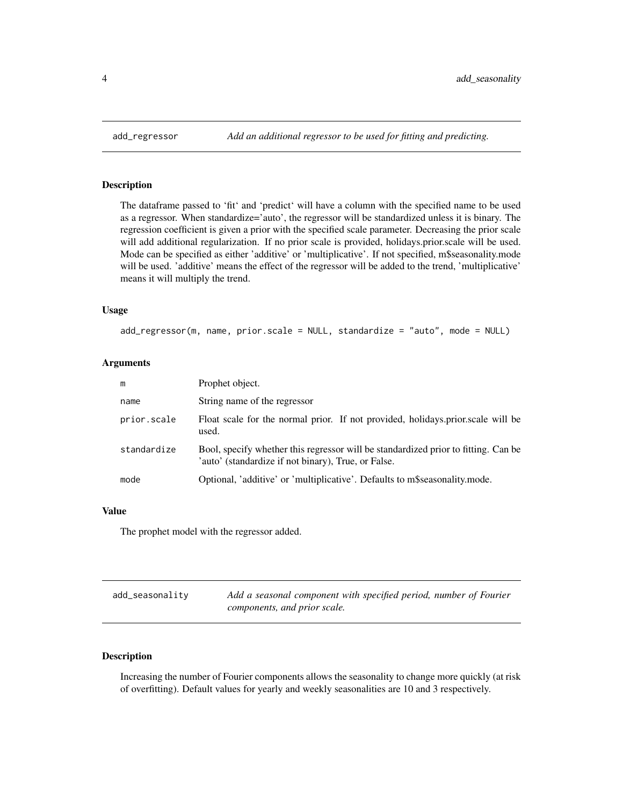#### Description

The dataframe passed to 'fit' and 'predict' will have a column with the specified name to be used as a regressor. When standardize='auto', the regressor will be standardized unless it is binary. The regression coefficient is given a prior with the specified scale parameter. Decreasing the prior scale will add additional regularization. If no prior scale is provided, holidays.prior.scale will be used. Mode can be specified as either 'additive' or 'multiplicative'. If not specified, m\$seasonality.mode will be used. 'additive' means the effect of the regressor will be added to the trend, 'multiplicative' means it will multiply the trend.

# Usage

```
add_regressor(m, name, prior.scale = NULL, standardize = "auto", mode = NULL)
```
#### Arguments

| m           | Prophet object.                                                                                                                           |
|-------------|-------------------------------------------------------------------------------------------------------------------------------------------|
| name        | String name of the regressor                                                                                                              |
| prior.scale | Float scale for the normal prior. If not provided, holidays.prior.scale will be<br>used.                                                  |
| standardize | Bool, specify whether this regressor will be standardized prior to fitting. Can be<br>'auto' (standardize if not binary), True, or False. |
| mode        | Optional, 'additive' or 'multiplicative'. Defaults to m\$seasonality.mode.                                                                |

#### Value

The prophet model with the regressor added.

| add_seasonality | Add a seasonal component with specified period, number of Fourier |
|-----------------|-------------------------------------------------------------------|
|                 | components, and prior scale.                                      |

# Description

Increasing the number of Fourier components allows the seasonality to change more quickly (at risk of overfitting). Default values for yearly and weekly seasonalities are 10 and 3 respectively.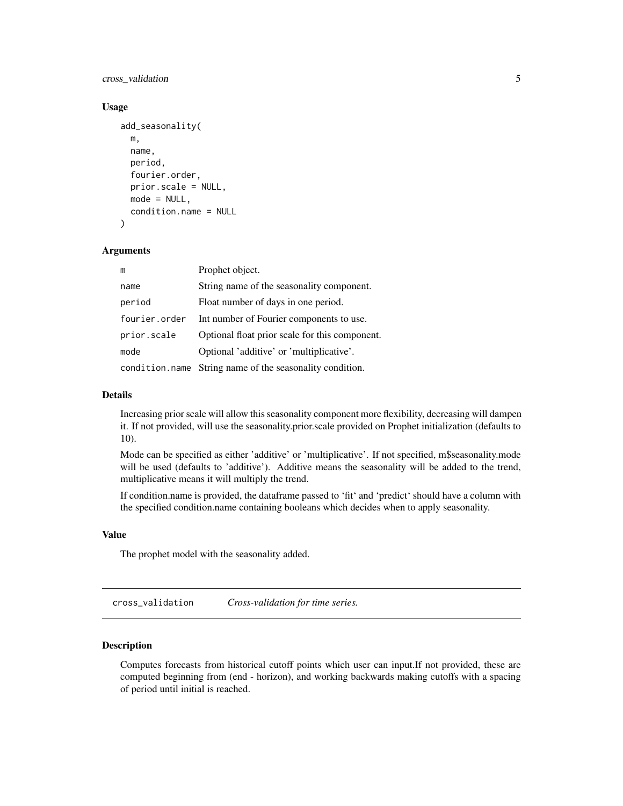<span id="page-4-0"></span>cross\_validation 5

#### Usage

```
add_seasonality(
 m,
  name,
 period,
  fourier.order,
  prior.scale = NULL,
 mode = NULL,
  condition.name = NULL
)
```
# Arguments

| m             | Prophet object.                                          |
|---------------|----------------------------------------------------------|
| name          | String name of the seasonality component.                |
| period        | Float number of days in one period.                      |
| fourier.order | Int number of Fourier components to use.                 |
| prior.scale   | Optional float prior scale for this component.           |
| mode          | Optional 'additive' or 'multiplicative'.                 |
|               | condition.name String name of the seasonality condition. |

#### Details

Increasing prior scale will allow this seasonality component more flexibility, decreasing will dampen it. If not provided, will use the seasonality.prior.scale provided on Prophet initialization (defaults to 10).

Mode can be specified as either 'additive' or 'multiplicative'. If not specified, m\$seasonality.mode will be used (defaults to 'additive'). Additive means the seasonality will be added to the trend, multiplicative means it will multiply the trend.

If condition.name is provided, the dataframe passed to 'fit' and 'predict' should have a column with the specified condition.name containing booleans which decides when to apply seasonality.

#### Value

The prophet model with the seasonality added.

cross\_validation *Cross-validation for time series.*

# Description

Computes forecasts from historical cutoff points which user can input.If not provided, these are computed beginning from (end - horizon), and working backwards making cutoffs with a spacing of period until initial is reached.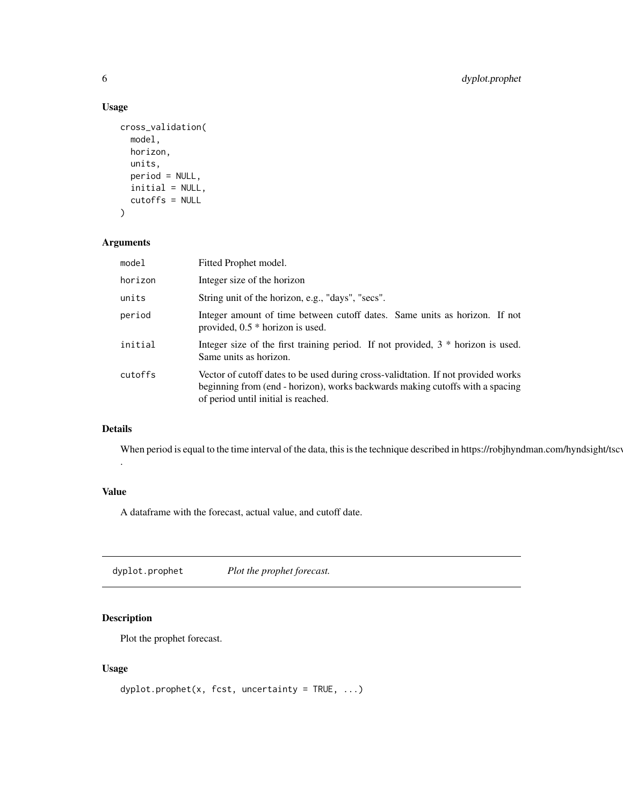# Usage

```
cross_validation(
  model,
  horizon,
  units,
  period = NULL,
  initial = NULL,
  cutoffs = NULL
\mathcal{L}
```
# Arguments

| model   | Fitted Prophet model.                                                                                                                                                                                    |
|---------|----------------------------------------------------------------------------------------------------------------------------------------------------------------------------------------------------------|
| horizon | Integer size of the horizon                                                                                                                                                                              |
| units   | String unit of the horizon, e.g., "days", "secs".                                                                                                                                                        |
| period  | Integer amount of time between cutoff dates. Same units as horizon. If not<br>provided, $0.5 *$ horizon is used.                                                                                         |
| initial | Integer size of the first training period. If not provided, $3 *$ horizon is used.<br>Same units as horizon.                                                                                             |
| cutoffs | Vector of cutoff dates to be used during cross-validation. If not provided works<br>beginning from (end - horizon), works backwards making cutoffs with a spacing<br>of period until initial is reached. |

# Details

.

When period is equal to the time interval of the data, this is the technique described in https://robjhyndman.com/hyndsight/tscv

#### Value

A dataframe with the forecast, actual value, and cutoff date.

dyplot.prophet *Plot the prophet forecast.*

# Description

Plot the prophet forecast.

# Usage

```
dyplot.prophet(x, fcst, uncertainty = TRUE, ...)
```
<span id="page-5-0"></span>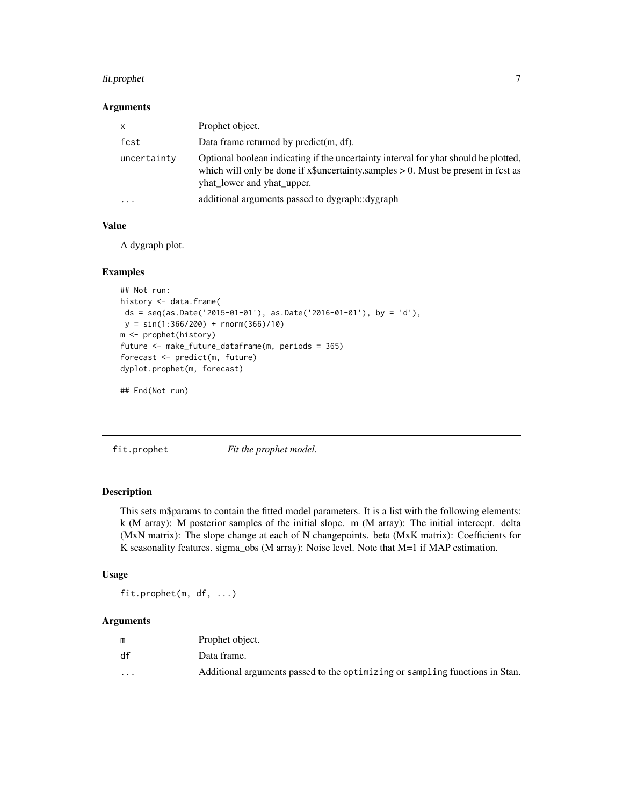# <span id="page-6-0"></span>fit.prophet 7

#### Arguments

| X           | Prophet object.                                                                                                                                                                                             |
|-------------|-------------------------------------------------------------------------------------------------------------------------------------------------------------------------------------------------------------|
| fcst        | Data frame returned by $predict(m, df)$ .                                                                                                                                                                   |
| uncertainty | Optional boolean indicating if the uncertainty interval for yhat should be plotted,<br>which will only be done if $x\$ uncertainty.samples $> 0$ . Must be present in fcst as<br>yhat_lower and yhat_upper. |
| $\cdots$    | additional arguments passed to dygraph::dygraph                                                                                                                                                             |

# Value

A dygraph plot.

#### Examples

```
## Not run:
history <- data.frame(
ds = seq(as.Date('2015-01-01'), as.Date('2016-01-01'), by = 'd'),
y = sin(1:366/200) + rnorm(366)/10)
m <- prophet(history)
future <- make_future_dataframe(m, periods = 365)
forecast <- predict(m, future)
dyplot.prophet(m, forecast)
```
## End(Not run)

<span id="page-6-1"></span>fit.prophet *Fit the prophet model.*

# Description

This sets m\$params to contain the fitted model parameters. It is a list with the following elements: k (M array): M posterior samples of the initial slope. m (M array): The initial intercept. delta (MxN matrix): The slope change at each of N changepoints. beta (MxK matrix): Coefficients for K seasonality features. sigma\_obs (M array): Noise level. Note that M=1 if MAP estimation.

#### Usage

fit.prophet(m, df, ...)

# Arguments

|                         | Prophet object.                                                              |
|-------------------------|------------------------------------------------------------------------------|
| df                      | Data frame.                                                                  |
| $\cdot$ $\cdot$ $\cdot$ | Additional arguments passed to the optimizing or sampling functions in Stan. |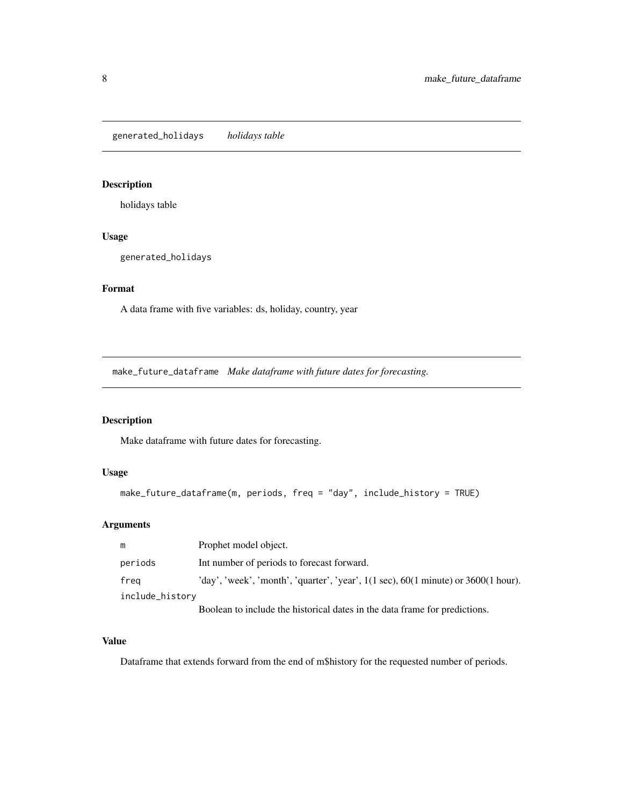<span id="page-7-0"></span>generated\_holidays *holidays table*

# Description

holidays table

# Usage

generated\_holidays

#### Format

A data frame with five variables: ds, holiday, country, year

make\_future\_dataframe *Make dataframe with future dates for forecasting.*

# Description

Make dataframe with future dates for forecasting.

#### Usage

```
make_future_dataframe(m, periods, freq = "day", include_history = TRUE)
```
# Arguments

| m               | Prophet model object.                                                                                              |
|-----------------|--------------------------------------------------------------------------------------------------------------------|
| periods         | Int number of periods to forecast forward.                                                                         |
| freg            | 'day', 'week', 'month', 'quarter', 'year', $1(1 \text{ sec})$ , $60(1 \text{ minute})$ or $3600(1 \text{ hour})$ . |
| include_history |                                                                                                                    |
|                 | Boolean to include the historical dates in the data frame for predictions.                                         |

#### Value

Dataframe that extends forward from the end of m\$history for the requested number of periods.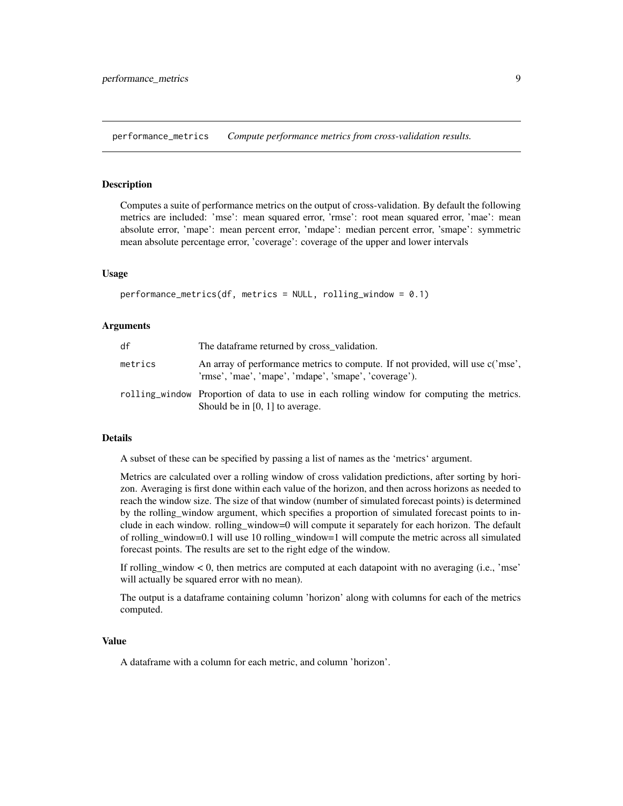<span id="page-8-0"></span>performance\_metrics *Compute performance metrics from cross-validation results.*

# **Description**

Computes a suite of performance metrics on the output of cross-validation. By default the following metrics are included: 'mse': mean squared error, 'rmse': root mean squared error, 'mae': mean absolute error, 'mape': mean percent error, 'mdape': median percent error, 'smape': symmetric mean absolute percentage error, 'coverage': coverage of the upper and lower intervals

#### Usage

```
performance_metrics(df, metrics = NULL, rolling_window = 0.1)
```
#### Arguments

| df      | The dataframe returned by cross_validation.                                                                                             |
|---------|-----------------------------------------------------------------------------------------------------------------------------------------|
| metrics | An array of performance metrics to compute. If not provided, will use c('mse',<br>'rmse', 'mae', 'mape', 'mdape', 'smape', 'coverage'). |
|         | rolling window Proportion of data to use in each rolling window for computing the metrics.<br>Should be in $[0, 1]$ to average.         |

#### Details

A subset of these can be specified by passing a list of names as the 'metrics' argument.

Metrics are calculated over a rolling window of cross validation predictions, after sorting by horizon. Averaging is first done within each value of the horizon, and then across horizons as needed to reach the window size. The size of that window (number of simulated forecast points) is determined by the rolling\_window argument, which specifies a proportion of simulated forecast points to include in each window. rolling\_window=0 will compute it separately for each horizon. The default of rolling\_window=0.1 will use 10 rolling\_window=1 will compute the metric across all simulated forecast points. The results are set to the right edge of the window.

If rolling\_window  $< 0$ , then metrics are computed at each datapoint with no averaging (i.e., 'mse' will actually be squared error with no mean).

The output is a dataframe containing column 'horizon' along with columns for each of the metrics computed.

#### Value

A dataframe with a column for each metric, and column 'horizon'.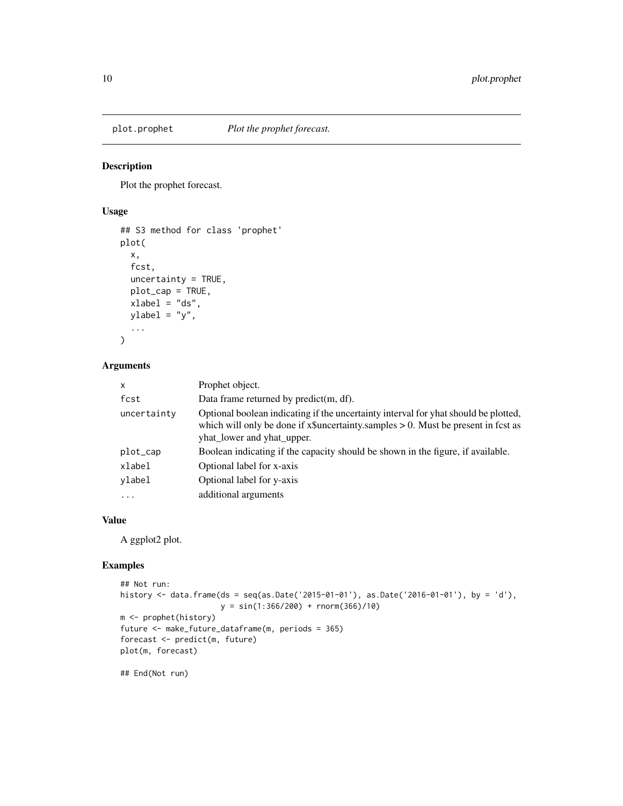<span id="page-9-0"></span>

# Description

Plot the prophet forecast.

#### Usage

```
## S3 method for class 'prophet'
plot(
 x,
 fcst,
 uncertainty = TRUE,
 plot_cap = TRUE,
 xlabel = "ds",ylabel = "y",...
\mathcal{L}
```
# Arguments

| $\times$    | Prophet object.                                                                                                                                                                                              |
|-------------|--------------------------------------------------------------------------------------------------------------------------------------------------------------------------------------------------------------|
| fcst        | Data frame returned by $predict(m, df)$ .                                                                                                                                                                    |
| uncertainty | Optional boolean indicating if the uncertainty interval for yhat should be plotted,<br>which will only be done if $x\$ suncertainty.samples $> 0$ . Must be present in fest as<br>yhat_lower and yhat_upper. |
| plot_cap    | Boolean indicating if the capacity should be shown in the figure, if available.                                                                                                                              |
| xlabel      | Optional label for x-axis                                                                                                                                                                                    |
| vlabel      | Optional label for y-axis                                                                                                                                                                                    |
| $\ddotsc$   | additional arguments                                                                                                                                                                                         |

# Value

A ggplot2 plot.

# Examples

```
## Not run:
history <- data.frame(ds = seq(as.Date('2015-01-01'), as.Date('2016-01-01'), by = 'd'),
                      y = \sin(1:366/200) + \text{rnorm}(366)/10m <- prophet(history)
future <- make_future_dataframe(m, periods = 365)
forecast <- predict(m, future)
plot(m, forecast)
```
## End(Not run)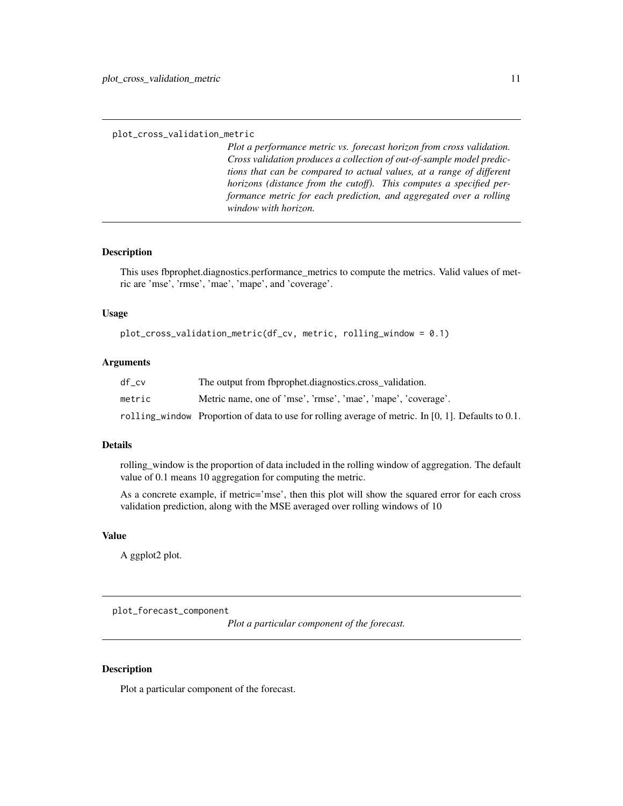<span id="page-10-0"></span>plot\_cross\_validation\_metric

*Plot a performance metric vs. forecast horizon from cross validation. Cross validation produces a collection of out-of-sample model predictions that can be compared to actual values, at a range of different horizons (distance from the cutoff). This computes a specified performance metric for each prediction, and aggregated over a rolling window with horizon.*

# **Description**

This uses fbprophet.diagnostics.performance\_metrics to compute the metrics. Valid values of metric are 'mse', 'rmse', 'mae', 'mape', and 'coverage'.

#### Usage

plot\_cross\_validation\_metric(df\_cv, metric, rolling\_window = 0.1)

#### Arguments

| df cv  | The output from fbprophet.diagnostics.cross validation.                                                |
|--------|--------------------------------------------------------------------------------------------------------|
| metric | Metric name, one of 'mse', 'rmse', 'mae', 'mape', 'coverage'.                                          |
|        | rolling window Proportion of data to use for rolling average of metric. In [0, 1]. Defaults to $0.1$ . |

#### Details

rolling\_window is the proportion of data included in the rolling window of aggregation. The default value of 0.1 means 10 aggregation for computing the metric.

As a concrete example, if metric='mse', then this plot will show the squared error for each cross validation prediction, along with the MSE averaged over rolling windows of 10

#### Value

A ggplot2 plot.

plot\_forecast\_component

*Plot a particular component of the forecast.*

#### Description

Plot a particular component of the forecast.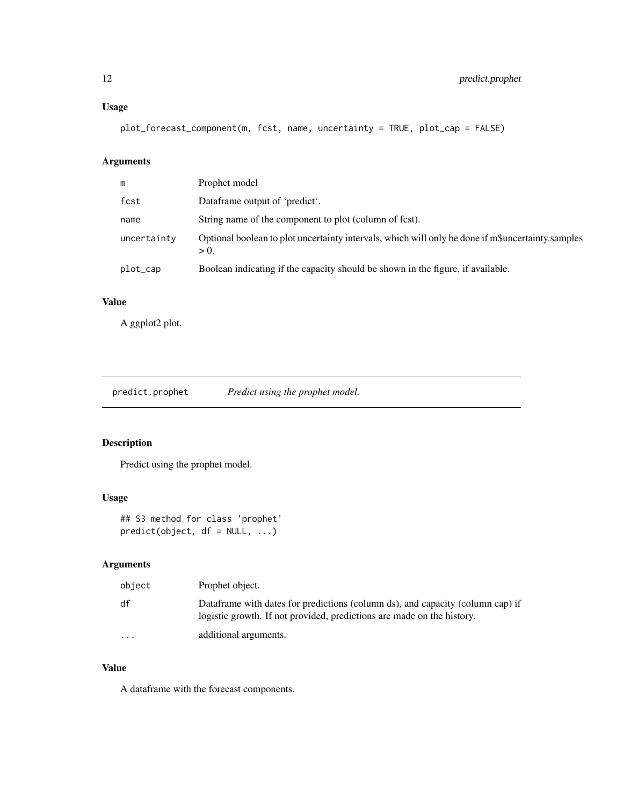# <span id="page-11-0"></span>Usage

plot\_forecast\_component(m, fcst, name, uncertainty = TRUE, plot\_cap = FALSE)

# Arguments

| m           | Prophet model                                                                                                |
|-------------|--------------------------------------------------------------------------------------------------------------|
| fcst        | Dataframe output of 'predict'.                                                                               |
| name        | String name of the component to plot (column of fest).                                                       |
| uncertainty | Optional boolean to plot uncertainty intervals, which will only be done if m\$uncertainty.samples<br>$> 0$ . |
| plot_cap    | Boolean indicating if the capacity should be shown in the figure, if available.                              |
|             |                                                                                                              |

# Value

A ggplot2 plot.

# Description

Predict using the prophet model.

# Usage

## S3 method for class 'prophet' predict(object, df = NULL, ...)

# Arguments

| object   | Prophet object.                                                                                                                                          |
|----------|----------------------------------------------------------------------------------------------------------------------------------------------------------|
| df       | Dataframe with dates for predictions (column ds), and capacity (column cap) if<br>logistic growth. If not provided, predictions are made on the history. |
| $\cdots$ | additional arguments.                                                                                                                                    |

# Value

A dataframe with the forecast components.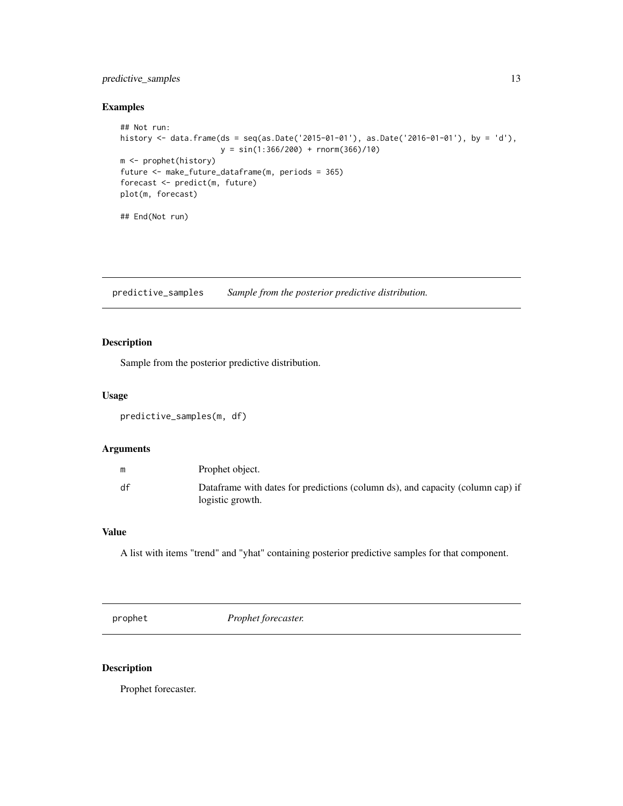# <span id="page-12-0"></span>predictive\_samples 13

#### Examples

```
## Not run:
history <- data.frame(ds = seq(as.Date('2015-01-01'), as.Date('2016-01-01'), by = 'd'),
                      y = sin(1:366/200) + rnorm(366)/10)
m <- prophet(history)
future <- make_future_dataframe(m, periods = 365)
forecast <- predict(m, future)
plot(m, forecast)
## End(Not run)
```
predictive\_samples *Sample from the posterior predictive distribution.*

#### Description

Sample from the posterior predictive distribution.

#### Usage

```
predictive_samples(m, df)
```
#### Arguments

|    | Prophet object.                                                                                    |
|----|----------------------------------------------------------------------------------------------------|
| df | Dataframe with dates for predictions (column ds), and capacity (column cap) if<br>logistic growth. |

# Value

A list with items "trend" and "yhat" containing posterior predictive samples for that component.

prophet *Prophet forecaster.*

#### Description

Prophet forecaster.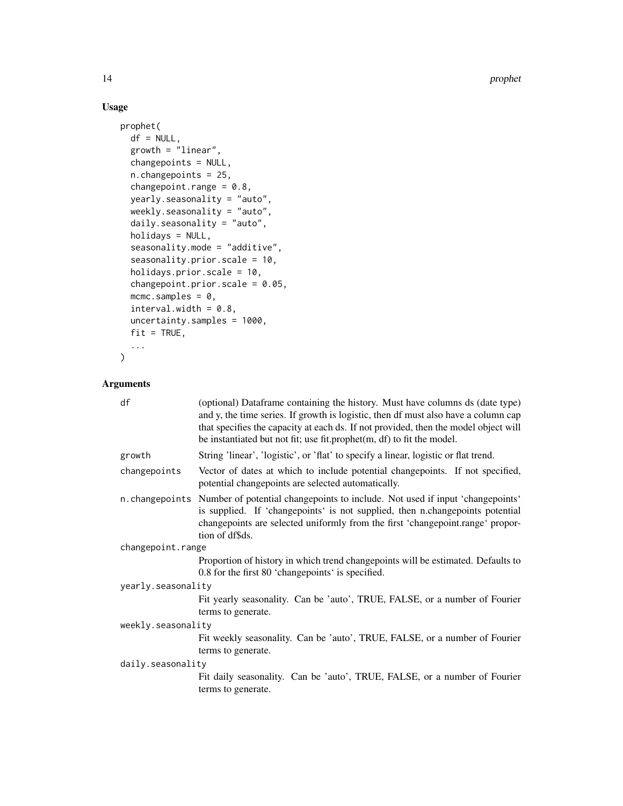14 prophet

# Usage

```
prophet(
 df = NULL,growth = "linear",
  changepoints = NULL,
  n.changepoints = 25,
  changepoint.range = 0.8,
  yearly.seasonality = "auto",
  weekly.seasonality = "auto",
  daily.seasonality = "auto",
  holidays = NULL,
  seasonality.mode = "additive",
  seasonality.prior.scale = 10,
  holidays.prior.scale = 10,
  changepoint.prior.scale = 0.05,
 mcmc.samples = 0,
  interval.width = 0.8,uncertainty.samples = 1000,
 fit = TRUE,...
\mathcal{L}
```
# Arguments

| df                 | (optional) Dataframe containing the history. Must have columns ds (date type)<br>and y, the time series. If growth is logistic, then df must also have a column cap<br>that specifies the capacity at each ds. If not provided, then the model object will<br>be instantiated but not fit; use fit.prophet(m, df) to fit the model. |
|--------------------|-------------------------------------------------------------------------------------------------------------------------------------------------------------------------------------------------------------------------------------------------------------------------------------------------------------------------------------|
| growth             | String 'linear', 'logistic', or 'flat' to specify a linear, logistic or flat trend.                                                                                                                                                                                                                                                 |
| changepoints       | Vector of dates at which to include potential changepoints. If not specified,<br>potential changepoints are selected automatically.                                                                                                                                                                                                 |
|                    | n. changepoints Number of potential changepoints to include. Not used if input 'changepoints'<br>is supplied. If 'changepoints' is not supplied, then n.changepoints potential<br>changepoints are selected uniformly from the first 'changepoint.range' propor-<br>tion of df\$ds.                                                 |
| changepoint.range  |                                                                                                                                                                                                                                                                                                                                     |
|                    | Proportion of history in which trend changepoints will be estimated. Defaults to<br>0.8 for the first 80 'changepoints' is specified.                                                                                                                                                                                               |
| yearly.seasonality |                                                                                                                                                                                                                                                                                                                                     |
|                    | Fit yearly seasonality. Can be 'auto', TRUE, FALSE, or a number of Fourier<br>terms to generate.                                                                                                                                                                                                                                    |
| weekly.seasonality |                                                                                                                                                                                                                                                                                                                                     |
|                    | Fit weekly seasonality. Can be 'auto', TRUE, FALSE, or a number of Fourier                                                                                                                                                                                                                                                          |
|                    | terms to generate.                                                                                                                                                                                                                                                                                                                  |
| daily.seasonality  |                                                                                                                                                                                                                                                                                                                                     |
|                    | Fit daily seasonality. Can be 'auto', TRUE, FALSE, or a number of Fourier<br>terms to generate.                                                                                                                                                                                                                                     |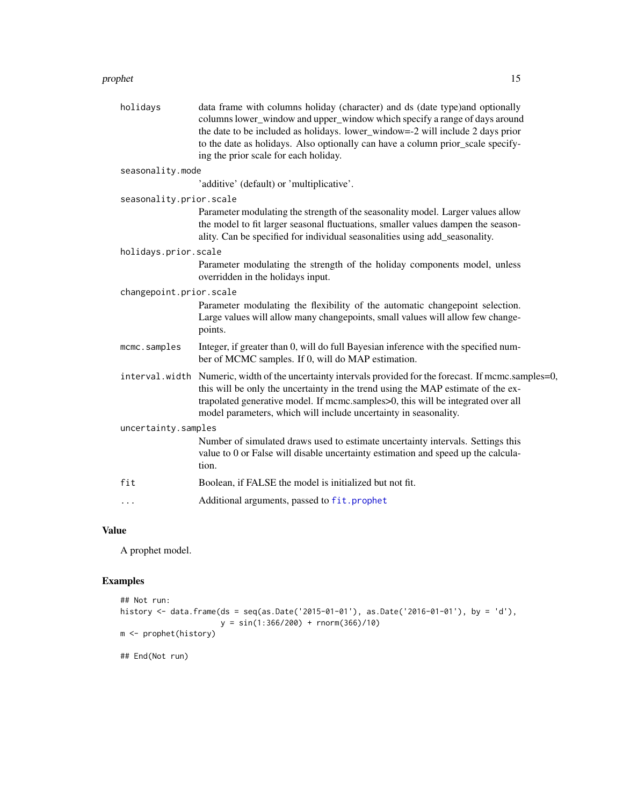#### <span id="page-14-0"></span>prophet that the contract of the contract of the contract of the contract of the contract of the contract of the contract of the contract of the contract of the contract of the contract of the contract of the contract of t

| holidays                | data frame with columns holiday (character) and ds (date type)and optionally<br>columns lower_window and upper_window which specify a range of days around<br>the date to be included as holidays. lower_window=-2 will include 2 days prior<br>to the date as holidays. Also optionally can have a column prior_scale specify-<br>ing the prior scale for each holiday. |
|-------------------------|--------------------------------------------------------------------------------------------------------------------------------------------------------------------------------------------------------------------------------------------------------------------------------------------------------------------------------------------------------------------------|
| seasonality.mode        |                                                                                                                                                                                                                                                                                                                                                                          |
|                         | 'additive' (default) or 'multiplicative'.                                                                                                                                                                                                                                                                                                                                |
| seasonality.prior.scale |                                                                                                                                                                                                                                                                                                                                                                          |
|                         | Parameter modulating the strength of the seasonality model. Larger values allow<br>the model to fit larger seasonal fluctuations, smaller values dampen the season-<br>ality. Can be specified for individual seasonalities using add_seasonality.                                                                                                                       |
| holidays.prior.scale    |                                                                                                                                                                                                                                                                                                                                                                          |
|                         | Parameter modulating the strength of the holiday components model, unless<br>overridden in the holidays input.                                                                                                                                                                                                                                                           |
| changepoint.prior.scale |                                                                                                                                                                                                                                                                                                                                                                          |
|                         | Parameter modulating the flexibility of the automatic changepoint selection.<br>Large values will allow many changepoints, small values will allow few change-<br>points.                                                                                                                                                                                                |
| mcmc.samples            | Integer, if greater than 0, will do full Bayesian inference with the specified num-<br>ber of MCMC samples. If 0, will do MAP estimation.                                                                                                                                                                                                                                |
|                         | interval. width Numeric, width of the uncertainty intervals provided for the forecast. If mcmc.samples=0,<br>this will be only the uncertainty in the trend using the MAP estimate of the ex-<br>trapolated generative model. If mcmc.samples>0, this will be integrated over all<br>model parameters, which will include uncertainty in seasonality.                    |
| uncertainty.samples     |                                                                                                                                                                                                                                                                                                                                                                          |
|                         | Number of simulated draws used to estimate uncertainty intervals. Settings this<br>value to 0 or False will disable uncertainty estimation and speed up the calcula-<br>tion.                                                                                                                                                                                            |
| fit                     | Boolean, if FALSE the model is initialized but not fit.                                                                                                                                                                                                                                                                                                                  |
| $\cdots$                | Additional arguments, passed to fit.prophet                                                                                                                                                                                                                                                                                                                              |
|                         |                                                                                                                                                                                                                                                                                                                                                                          |

# Value

A prophet model.

# Examples

```
## Not run:
history <- data.frame(ds = seq(as.Date('2015-01-01'), as.Date('2016-01-01'), by = 'd'),
                     y = sin(1:366/200) + rnorm(366)/10)m <- prophet(history)
## End(Not run)
```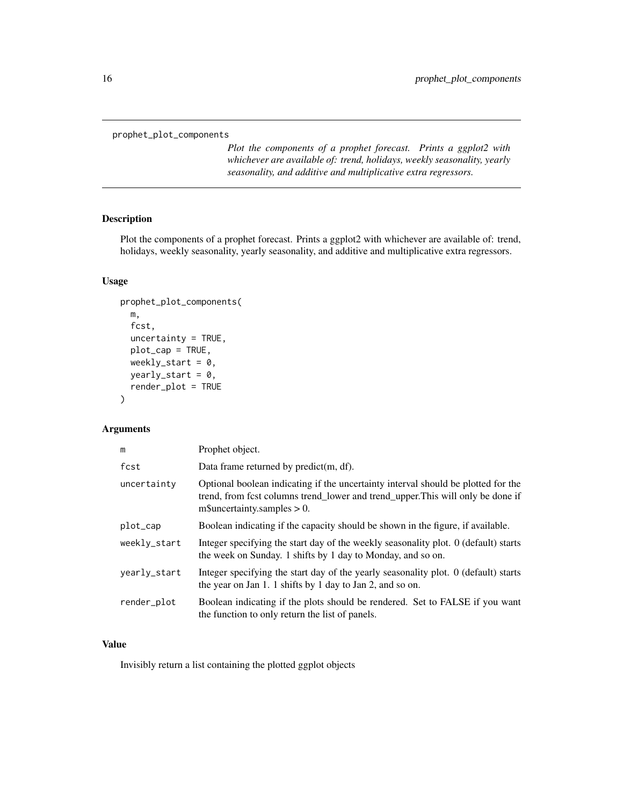<span id="page-15-0"></span>prophet\_plot\_components

*Plot the components of a prophet forecast. Prints a ggplot2 with whichever are available of: trend, holidays, weekly seasonality, yearly seasonality, and additive and multiplicative extra regressors.*

#### Description

Plot the components of a prophet forecast. Prints a ggplot2 with whichever are available of: trend, holidays, weekly seasonality, yearly seasonality, and additive and multiplicative extra regressors.

#### Usage

```
prophet_plot_components(
 m,
  fcst,
 uncertainty = TRUE,plot_cap = TRUE,
 weekly_start = 0,
 yearly_start = 0,render_plot = TRUE
)
```
#### Arguments

| m            | Prophet object.                                                                                                                                                                                           |  |
|--------------|-----------------------------------------------------------------------------------------------------------------------------------------------------------------------------------------------------------|--|
| fcst         | Data frame returned by predict(m, df).                                                                                                                                                                    |  |
| uncertainty  | Optional boolean indicating if the uncertainty interval should be plotted for the<br>trend, from fcst columns trend_lower and trend_upper. This will only be done if<br>$m\$ Suncertainty.samples $> 0$ . |  |
| plot_cap     | Boolean indicating if the capacity should be shown in the figure, if available.                                                                                                                           |  |
| weekly_start | Integer specifying the start day of the weekly seasonality plot. 0 (default) starts<br>the week on Sunday. 1 shifts by 1 day to Monday, and so on.                                                        |  |
| yearly_start | Integer specifying the start day of the yearly seasonality plot. 0 (default) starts<br>the year on Jan 1. 1 shifts by 1 day to Jan 2, and so on.                                                          |  |
| render_plot  | Boolean indicating if the plots should be rendered. Set to FALSE if you want<br>the function to only return the list of panels.                                                                           |  |

# Value

Invisibly return a list containing the plotted ggplot objects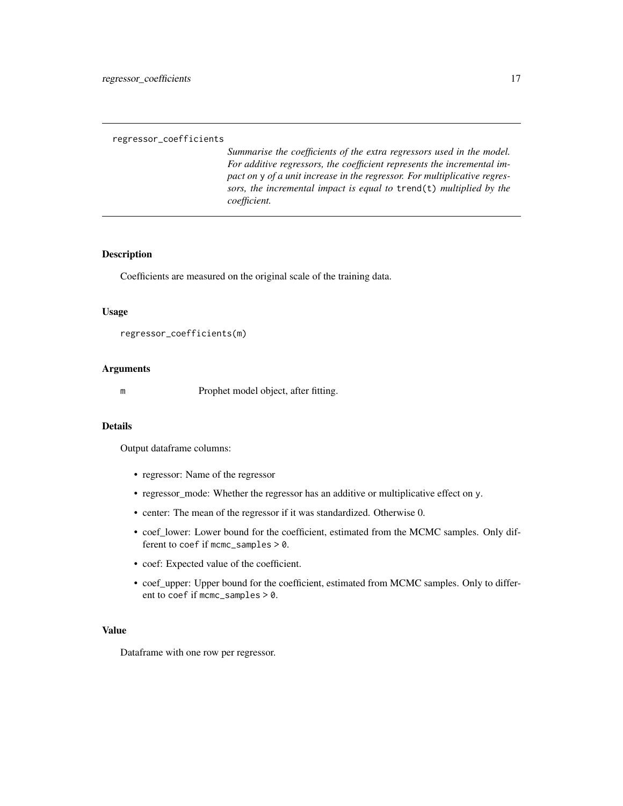#### <span id="page-16-0"></span>regressor\_coefficients

*Summarise the coefficients of the extra regressors used in the model. For additive regressors, the coefficient represents the incremental impact on* y *of a unit increase in the regressor. For multiplicative regressors, the incremental impact is equal to* trend(t) *multiplied by the coefficient.*

#### Description

Coefficients are measured on the original scale of the training data.

#### Usage

```
regressor_coefficients(m)
```
# Arguments

m Prophet model object, after fitting.

#### Details

Output dataframe columns:

- regressor: Name of the regressor
- regressor\_mode: Whether the regressor has an additive or multiplicative effect on y.
- center: The mean of the regressor if it was standardized. Otherwise 0.
- coef\_lower: Lower bound for the coefficient, estimated from the MCMC samples. Only different to coef if mcmc\_samples > 0.
- coef: Expected value of the coefficient.
- coef\_upper: Upper bound for the coefficient, estimated from MCMC samples. Only to different to coef if mcmc\_samples > 0.

#### Value

Dataframe with one row per regressor.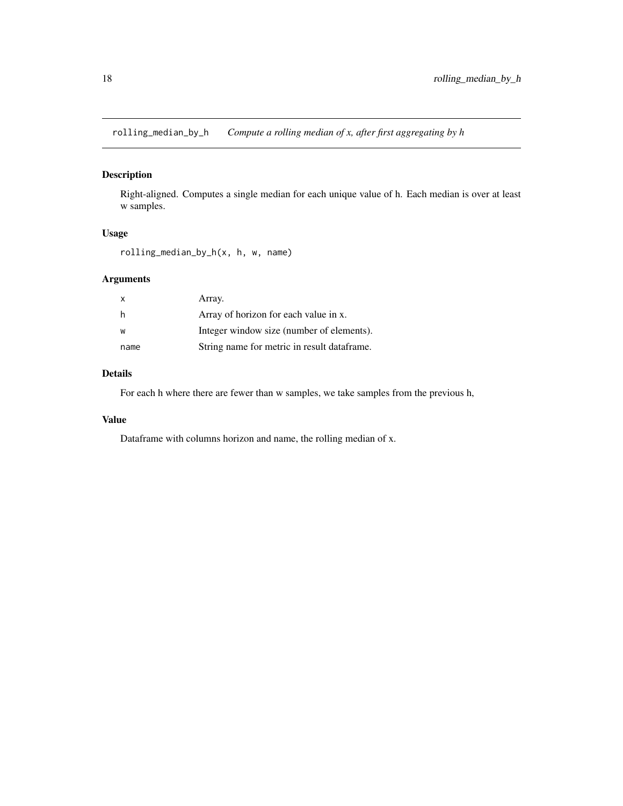<span id="page-17-0"></span>rolling\_median\_by\_h *Compute a rolling median of x, after first aggregating by h*

# Description

Right-aligned. Computes a single median for each unique value of h. Each median is over at least w samples.

#### Usage

rolling\_median\_by\_h(x, h, w, name)

# Arguments

| X    | Array.                                       |
|------|----------------------------------------------|
| h    | Array of horizon for each value in x.        |
| W    | Integer window size (number of elements).    |
| name | String name for metric in result data frame. |

# Details

For each h where there are fewer than w samples, we take samples from the previous h,

# Value

Dataframe with columns horizon and name, the rolling median of x.